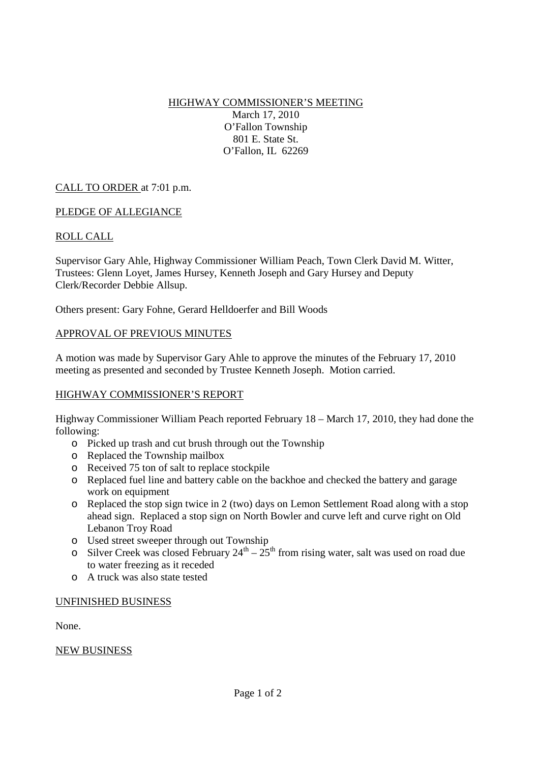HIGHWAY COMMISSIONER'S MEETING March 17, 2010 O'Fallon Township 801 E. State St. O'Fallon, IL 62269

# CALL TO ORDER at 7:01 p.m.

## PLEDGE OF ALLEGIANCE

## ROLL CALL

Supervisor Gary Ahle, Highway Commissioner William Peach, Town Clerk David M. Witter, Trustees: Glenn Loyet, James Hursey, Kenneth Joseph and Gary Hursey and Deputy Clerk/Recorder Debbie Allsup.

Others present: Gary Fohne, Gerard Helldoerfer and Bill Woods

## APPROVAL OF PREVIOUS MINUTES

A motion was made by Supervisor Gary Ahle to approve the minutes of the February 17, 2010 meeting as presented and seconded by Trustee Kenneth Joseph. Motion carried.

## HIGHWAY COMMISSIONER'S REPORT

Highway Commissioner William Peach reported February 18 – March 17, 2010, they had done the following:

- o Picked up trash and cut brush through out the Township
- o Replaced the Township mailbox
- o Received 75 ton of salt to replace stockpile
- o Replaced fuel line and battery cable on the backhoe and checked the battery and garage work on equipment
- o Replaced the stop sign twice in 2 (two) days on Lemon Settlement Road along with a stop ahead sign. Replaced a stop sign on North Bowler and curve left and curve right on Old Lebanon Troy Road
- o Used street sweeper through out Township
- o Silver Creek was closed February  $24^{th} 25^{th}$  from rising water, salt was used on road due to water freezing as it receded
- o A truck was also state tested

#### UNFINISHED BUSINESS

None.

## NEW BUSINESS